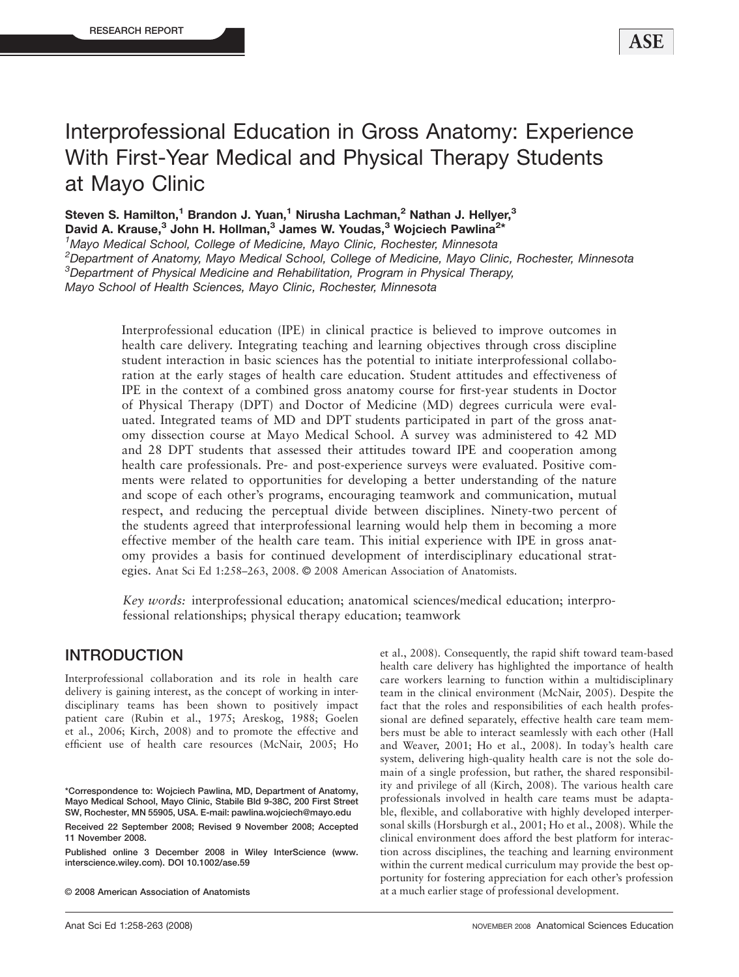# Interprofessional Education in Gross Anatomy: Experience With First-Year Medical and Physical Therapy Students at Mayo Clinic

#### Steven S. Hamilton,<sup>1</sup> Brandon J. Yuan,<sup>1</sup> Nirusha Lachman,<sup>2</sup> Nathan J. Hellyer,<sup>3</sup> David A. Krause,<sup>3</sup> John H. Hollman,<sup>3</sup> James W. Youdas,<sup>3</sup> Wojciech Pawlina<sup>2\*</sup>

<sup>1</sup>Mayo Medical School, College of Medicine, Mayo Clinic, Rochester, Minnesota

2 Department of Anatomy, Mayo Medical School, College of Medicine, Mayo Clinic, Rochester, Minnesota <sup>3</sup>Department of Physical Medicine and Rehabilitation, Program in Physical Therapy, Mayo School of Health Sciences, Mayo Clinic, Rochester, Minnesota

Interprofessional education (IPE) in clinical practice is believed to improve outcomes in health care delivery. Integrating teaching and learning objectives through cross discipline student interaction in basic sciences has the potential to initiate interprofessional collaboration at the early stages of health care education. Student attitudes and effectiveness of IPE in the context of a combined gross anatomy course for first-year students in Doctor of Physical Therapy (DPT) and Doctor of Medicine (MD) degrees curricula were evaluated. Integrated teams of MD and DPT students participated in part of the gross anatomy dissection course at Mayo Medical School. A survey was administered to 42 MD and 28 DPT students that assessed their attitudes toward IPE and cooperation among health care professionals. Pre- and post-experience surveys were evaluated. Positive comments were related to opportunities for developing a better understanding of the nature and scope of each other's programs, encouraging teamwork and communication, mutual respect, and reducing the perceptual divide between disciplines. Ninety-two percent of the students agreed that interprofessional learning would help them in becoming a more effective member of the health care team. This initial experience with IPE in gross anatomy provides a basis for continued development of interdisciplinary educational strategies. Anat Sci Ed 1:258–263, 2008. © 2008 American Association of Anatomists.

Key words: interprofessional education; anatomical sciences/medical education; interprofessional relationships; physical therapy education; teamwork

#### INTRODUCTION

Interprofessional collaboration and its role in health care delivery is gaining interest, as the concept of working in interdisciplinary teams has been shown to positively impact patient care (Rubin et al., 1975; Areskog, 1988; Goelen et al., 2006; Kirch, 2008) and to promote the effective and efficient use of health care resources (McNair, 2005; Ho

et al., 2008). Consequently, the rapid shift toward team-based health care delivery has highlighted the importance of health care workers learning to function within a multidisciplinary team in the clinical environment (McNair, 2005). Despite the fact that the roles and responsibilities of each health professional are defined separately, effective health care team members must be able to interact seamlessly with each other (Hall and Weaver, 2001; Ho et al., 2008). In today's health care system, delivering high-quality health care is not the sole domain of a single profession, but rather, the shared responsibility and privilege of all (Kirch, 2008). The various health care professionals involved in health care teams must be adaptable, flexible, and collaborative with highly developed interpersonal skills (Horsburgh et al., 2001; Ho et al., 2008). While the clinical environment does afford the best platform for interaction across disciplines, the teaching and learning environment within the current medical curriculum may provide the best opportunity for fostering appreciation for each other's profession at a much earlier stage of professional development.

<sup>\*</sup>Correspondence to: Wojciech Pawlina, MD, Department of Anatomy, Mayo Medical School, Mayo Clinic, Stabile Bld 9-38C, 200 First Street SW, Rochester, MN 55905, USA. E-mail: pawlina.wojciech@mayo.edu

Received 22 September 2008; Revised 9 November 2008; Accepted 11 November 2008.

Published online 3 December 2008 in Wiley InterScience (www. interscience.wiley.com). DOI 10.1002/ase.59

<sup>©</sup> 2008 American Association of Anatomists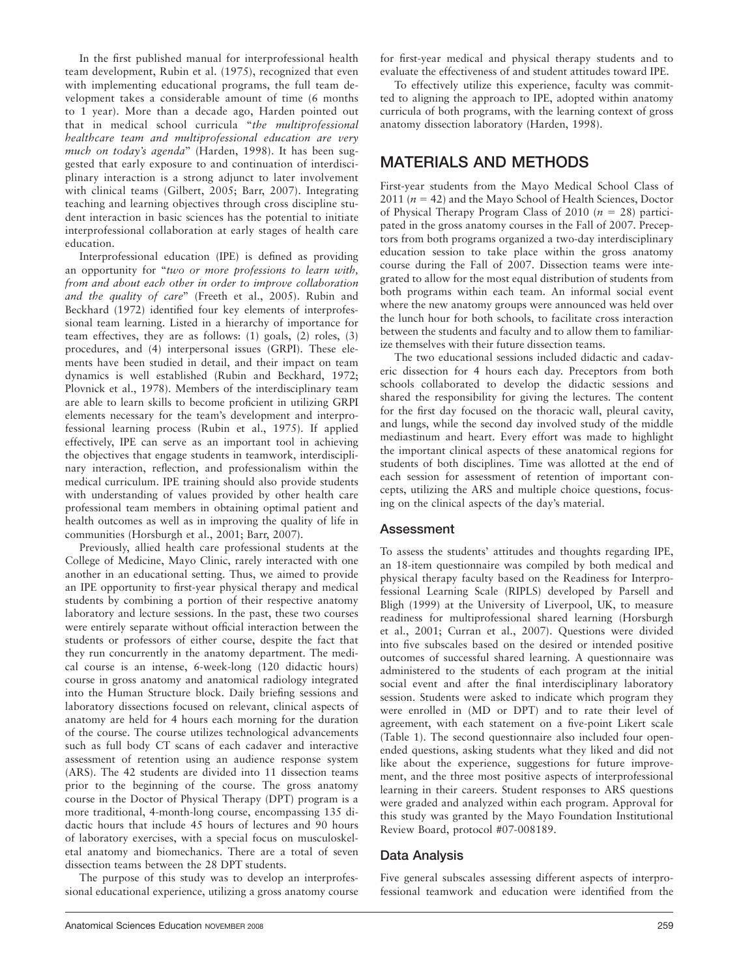In the first published manual for interprofessional health team development, Rubin et al. (1975), recognized that even with implementing educational programs, the full team development takes a considerable amount of time (6 months to 1 year). More than a decade ago, Harden pointed out that in medical school curricula "the multiprofessional healthcare team and multiprofessional education are very much on today's agenda" (Harden, 1998). It has been suggested that early exposure to and continuation of interdisciplinary interaction is a strong adjunct to later involvement with clinical teams (Gilbert, 2005; Barr, 2007). Integrating teaching and learning objectives through cross discipline student interaction in basic sciences has the potential to initiate interprofessional collaboration at early stages of health care education.

Interprofessional education (IPE) is defined as providing an opportunity for "two or more professions to learn with, from and about each other in order to improve collaboration and the quality of care'' (Freeth et al., 2005). Rubin and Beckhard (1972) identified four key elements of interprofessional team learning. Listed in a hierarchy of importance for team effectives, they are as follows: (1) goals, (2) roles, (3) procedures, and (4) interpersonal issues (GRPI). These elements have been studied in detail, and their impact on team dynamics is well established (Rubin and Beckhard, 1972; Plovnick et al., 1978). Members of the interdisciplinary team are able to learn skills to become proficient in utilizing GRPI elements necessary for the team's development and interprofessional learning process (Rubin et al., 1975). If applied effectively, IPE can serve as an important tool in achieving the objectives that engage students in teamwork, interdisciplinary interaction, reflection, and professionalism within the medical curriculum. IPE training should also provide students with understanding of values provided by other health care professional team members in obtaining optimal patient and health outcomes as well as in improving the quality of life in communities (Horsburgh et al., 2001; Barr, 2007).

Previously, allied health care professional students at the College of Medicine, Mayo Clinic, rarely interacted with one another in an educational setting. Thus, we aimed to provide an IPE opportunity to first-year physical therapy and medical students by combining a portion of their respective anatomy laboratory and lecture sessions. In the past, these two courses were entirely separate without official interaction between the students or professors of either course, despite the fact that they run concurrently in the anatomy department. The medical course is an intense, 6-week-long (120 didactic hours) course in gross anatomy and anatomical radiology integrated into the Human Structure block. Daily briefing sessions and laboratory dissections focused on relevant, clinical aspects of anatomy are held for 4 hours each morning for the duration of the course. The course utilizes technological advancements such as full body CT scans of each cadaver and interactive assessment of retention using an audience response system (ARS). The 42 students are divided into 11 dissection teams prior to the beginning of the course. The gross anatomy course in the Doctor of Physical Therapy (DPT) program is a more traditional, 4-month-long course, encompassing 135 didactic hours that include 45 hours of lectures and 90 hours of laboratory exercises, with a special focus on musculoskeletal anatomy and biomechanics. There are a total of seven dissection teams between the 28 DPT students.

The purpose of this study was to develop an interprofessional educational experience, utilizing a gross anatomy course for first-year medical and physical therapy students and to evaluate the effectiveness of and student attitudes toward IPE.

To effectively utilize this experience, faculty was committed to aligning the approach to IPE, adopted within anatomy curricula of both programs, with the learning context of gross anatomy dissection laboratory (Harden, 1998).

# MATERIALS AND METHODS

First-year students from the Mayo Medical School Class of 2011 ( $n = 42$ ) and the Mayo School of Health Sciences, Doctor of Physical Therapy Program Class of 2010 ( $n = 28$ ) participated in the gross anatomy courses in the Fall of 2007. Preceptors from both programs organized a two-day interdisciplinary education session to take place within the gross anatomy course during the Fall of 2007. Dissection teams were integrated to allow for the most equal distribution of students from both programs within each team. An informal social event where the new anatomy groups were announced was held over the lunch hour for both schools, to facilitate cross interaction between the students and faculty and to allow them to familiarize themselves with their future dissection teams.

The two educational sessions included didactic and cadaveric dissection for 4 hours each day. Preceptors from both schools collaborated to develop the didactic sessions and shared the responsibility for giving the lectures. The content for the first day focused on the thoracic wall, pleural cavity, and lungs, while the second day involved study of the middle mediastinum and heart. Every effort was made to highlight the important clinical aspects of these anatomical regions for students of both disciplines. Time was allotted at the end of each session for assessment of retention of important concepts, utilizing the ARS and multiple choice questions, focusing on the clinical aspects of the day's material.

#### Assessment

To assess the students' attitudes and thoughts regarding IPE, an 18-item questionnaire was compiled by both medical and physical therapy faculty based on the Readiness for Interprofessional Learning Scale (RIPLS) developed by Parsell and Bligh (1999) at the University of Liverpool, UK, to measure readiness for multiprofessional shared learning (Horsburgh et al., 2001; Curran et al., 2007). Questions were divided into five subscales based on the desired or intended positive outcomes of successful shared learning. A questionnaire was administered to the students of each program at the initial social event and after the final interdisciplinary laboratory session. Students were asked to indicate which program they were enrolled in (MD or DPT) and to rate their level of agreement, with each statement on a five-point Likert scale (Table 1). The second questionnaire also included four openended questions, asking students what they liked and did not like about the experience, suggestions for future improvement, and the three most positive aspects of interprofessional learning in their careers. Student responses to ARS questions were graded and analyzed within each program. Approval for this study was granted by the Mayo Foundation Institutional Review Board, protocol #07-008189.

#### Data Analysis

Five general subscales assessing different aspects of interprofessional teamwork and education were identified from the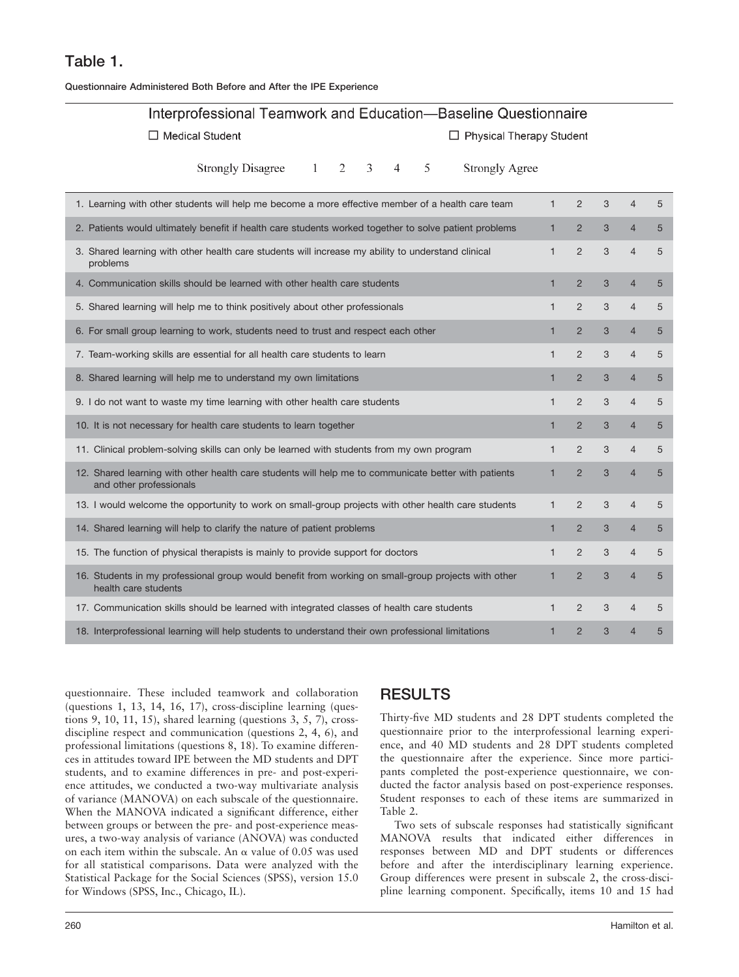# Table 1.

Questionnaire Administered Both Before and After the IPE Experience

| Interprofessional Teamwork and Education-Baseline Questionnaire                                                                 |              |                |   |                |   |  |  |  |
|---------------------------------------------------------------------------------------------------------------------------------|--------------|----------------|---|----------------|---|--|--|--|
| $\Box$ Medical Student<br>$\Box$ Physical Therapy Student                                                                       |              |                |   |                |   |  |  |  |
| $\overline{3}$<br>$\overline{2}$<br>$\overline{4}$<br>5<br><b>Strongly Disagree</b><br>$\mathbf{1}$<br><b>Strongly Agree</b>    |              |                |   |                |   |  |  |  |
| 1. Learning with other students will help me become a more effective member of a health care team                               | $\mathbf{1}$ | $\overline{2}$ | 3 | $\overline{4}$ | 5 |  |  |  |
| 2. Patients would ultimately benefit if health care students worked together to solve patient problems                          | $\mathbf{1}$ | $\overline{2}$ | 3 | $\overline{4}$ | 5 |  |  |  |
| 3. Shared learning with other health care students will increase my ability to understand clinical<br>problems                  | $\mathbf{1}$ | $\overline{2}$ | 3 | $\overline{4}$ | 5 |  |  |  |
| 4. Communication skills should be learned with other health care students                                                       | $\mathbf{1}$ | $\overline{2}$ | 3 | $\overline{4}$ | 5 |  |  |  |
| 5. Shared learning will help me to think positively about other professionals                                                   | $\mathbf{1}$ | $\overline{2}$ | 3 | $\overline{4}$ | 5 |  |  |  |
| 6. For small group learning to work, students need to trust and respect each other                                              | $\mathbf{1}$ | $\overline{2}$ | 3 | $\overline{4}$ | 5 |  |  |  |
| 7. Team-working skills are essential for all health care students to learn                                                      | $\mathbf{1}$ | $\overline{2}$ | 3 | $\overline{4}$ | 5 |  |  |  |
| 8. Shared learning will help me to understand my own limitations                                                                | $\mathbf{1}$ | $\overline{2}$ | 3 | $\overline{4}$ | 5 |  |  |  |
| 9. I do not want to waste my time learning with other health care students                                                      | $\mathbf{1}$ | 2              | 3 | $\overline{4}$ | 5 |  |  |  |
| 10. It is not necessary for health care students to learn together                                                              | $\mathbf{1}$ | $\overline{2}$ | 3 | $\overline{4}$ | 5 |  |  |  |
| 11. Clinical problem-solving skills can only be learned with students from my own program                                       | $\mathbf{1}$ | $\overline{2}$ | 3 | $\overline{4}$ | 5 |  |  |  |
| 12. Shared learning with other health care students will help me to communicate better with patients<br>and other professionals | $\mathbf{1}$ | $\overline{2}$ | 3 | $\overline{4}$ | 5 |  |  |  |
| 13. I would welcome the opportunity to work on small-group projects with other health care students                             | $\mathbf{1}$ | 2              | 3 | $\overline{4}$ | 5 |  |  |  |
| 14. Shared learning will help to clarify the nature of patient problems                                                         | $\mathbf{1}$ | 2              | 3 | $\overline{4}$ | 5 |  |  |  |
| 15. The function of physical therapists is mainly to provide support for doctors                                                | $\mathbf{1}$ | $\overline{2}$ | 3 | $\overline{4}$ | 5 |  |  |  |
| 16. Students in my professional group would benefit from working on small-group projects with other<br>health care students     | $\mathbf{1}$ | $\overline{2}$ | 3 | $\overline{4}$ | 5 |  |  |  |
| 17. Communication skills should be learned with integrated classes of health care students                                      | $\mathbf{1}$ | $\overline{2}$ | 3 | $\overline{4}$ | 5 |  |  |  |
| 18. Interprofessional learning will help students to understand their own professional limitations                              | $\mathbf{1}$ | $\overline{2}$ | 3 | $\overline{4}$ | 5 |  |  |  |

questionnaire. These included teamwork and collaboration (questions 1, 13, 14, 16, 17), cross-discipline learning (questions 9, 10, 11, 15), shared learning (questions 3, 5, 7), crossdiscipline respect and communication (questions 2, 4, 6), and professional limitations (questions 8, 18). To examine differences in attitudes toward IPE between the MD students and DPT students, and to examine differences in pre- and post-experience attitudes, we conducted a two-way multivariate analysis of variance (MANOVA) on each subscale of the questionnaire. When the MANOVA indicated a significant difference, either between groups or between the pre- and post-experience measures, a two-way analysis of variance (ANOVA) was conducted on each item within the subscale. An  $\alpha$  value of 0.05 was used for all statistical comparisons. Data were analyzed with the Statistical Package for the Social Sciences (SPSS), version 15.0 for Windows (SPSS, Inc., Chicago, IL).

# RESULTS

Thirty-five MD students and 28 DPT students completed the questionnaire prior to the interprofessional learning experience, and 40 MD students and 28 DPT students completed the questionnaire after the experience. Since more participants completed the post-experience questionnaire, we conducted the factor analysis based on post-experience responses. Student responses to each of these items are summarized in Table 2.

Two sets of subscale responses had statistically significant MANOVA results that indicated either differences in responses between MD and DPT students or differences before and after the interdisciplinary learning experience. Group differences were present in subscale 2, the cross-discipline learning component. Specifically, items 10 and 15 had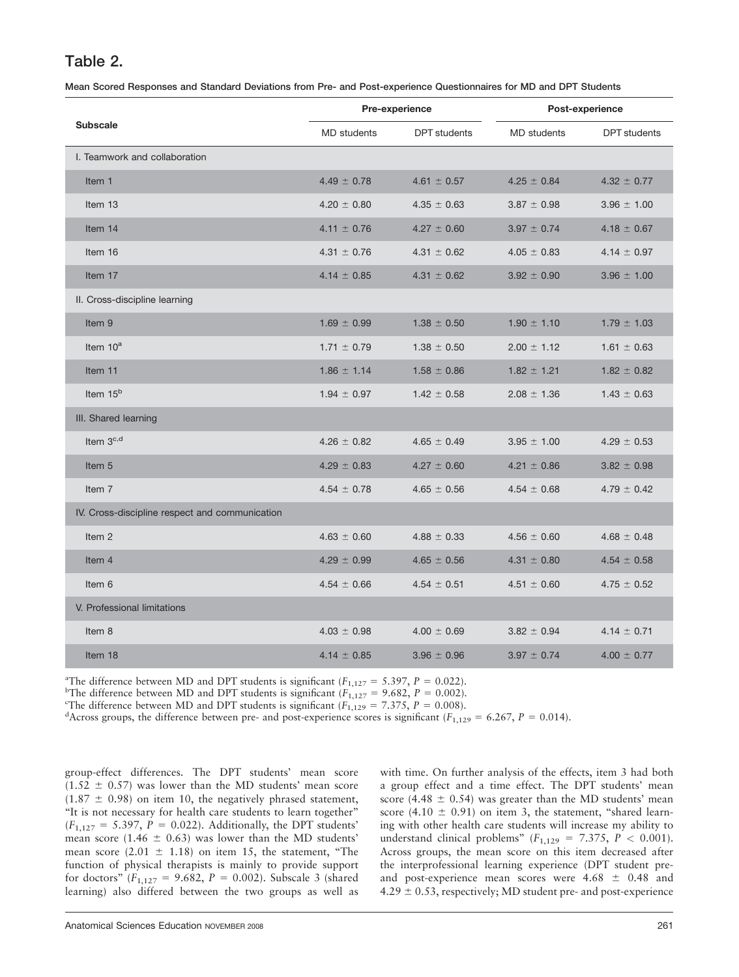# Table 2.

Mean Scored Responses and Standard Deviations from Pre- and Post-experience Questionnaires for MD and DPT Students

|                                                | Pre-experience     |                     | Post-experience    |                     |  |
|------------------------------------------------|--------------------|---------------------|--------------------|---------------------|--|
| <b>Subscale</b>                                | <b>MD</b> students | <b>DPT</b> students | <b>MD</b> students | <b>DPT</b> students |  |
| I. Teamwork and collaboration                  |                    |                     |                    |                     |  |
| Item 1                                         | $4.49 \pm 0.78$    | $4.61 \pm 0.57$     | $4.25 \pm 0.84$    | $4.32 \pm 0.77$     |  |
| Item 13                                        | $4.20 \pm 0.80$    | $4.35 \pm 0.63$     | $3.87 \pm 0.98$    | $3.96 \pm 1.00$     |  |
| Item 14                                        | $4.11 \pm 0.76$    | $4.27 \pm 0.60$     | $3.97 \pm 0.74$    | $4.18 \pm 0.67$     |  |
| Item 16                                        | $4.31 \pm 0.76$    | $4.31 \pm 0.62$     | $4.05 \pm 0.83$    | $4.14 \pm 0.97$     |  |
| Item 17                                        | $4.14 \pm 0.85$    | $4.31 \pm 0.62$     | $3.92 \pm 0.90$    | $3.96 \pm 1.00$     |  |
| II. Cross-discipline learning                  |                    |                     |                    |                     |  |
| Item <sub>9</sub>                              | $1.69 \pm 0.99$    | $1.38 \pm 0.50$     | $1.90 \pm 1.10$    | $1.79 \pm 1.03$     |  |
| Item $10^a$                                    | $1.71 \pm 0.79$    | $1.38 \pm 0.50$     | $2.00 \pm 1.12$    | $1.61 \pm 0.63$     |  |
| Item 11                                        | $1.86 \pm 1.14$    | $1.58 \pm 0.86$     | $1.82 \pm 1.21$    | $1.82 \pm 0.82$     |  |
| Item 15 <sup>b</sup>                           | $1.94 \pm 0.97$    | $1.42 \pm 0.58$     | $2.08 \pm 1.36$    | $1.43 \pm 0.63$     |  |
| III. Shared learning                           |                    |                     |                    |                     |  |
| Item 3 <sup>c,d</sup>                          | $4.26 \pm 0.82$    | $4.65 \pm 0.49$     | $3.95 \pm 1.00$    | $4.29 \pm 0.53$     |  |
| Item <sub>5</sub>                              | $4.29 \pm 0.83$    | $4.27 \pm 0.60$     | $4.21 \pm 0.86$    | $3.82 \pm 0.98$     |  |
| Item 7                                         | $4.54 \pm 0.78$    | $4.65 \pm 0.56$     | $4.54 \pm 0.68$    | $4.79 \pm 0.42$     |  |
| IV. Cross-discipline respect and communication |                    |                     |                    |                     |  |
| Item <sub>2</sub>                              | $4.63 \pm 0.60$    | $4.88 \pm 0.33$     | $4.56 \pm 0.60$    | $4.68 \pm 0.48$     |  |
| Item 4                                         | $4.29 \pm 0.99$    | $4.65 \pm 0.56$     | $4.31 \pm 0.80$    | $4.54 \pm 0.58$     |  |
| Item <sub>6</sub>                              | $4.54 \pm 0.66$    | $4.54 \pm 0.51$     | $4.51 \pm 0.60$    | $4.75 \pm 0.52$     |  |
| V. Professional limitations                    |                    |                     |                    |                     |  |
| Item 8                                         | $4.03 \pm 0.98$    | $4.00 \pm 0.69$     | $3.82 \pm 0.94$    | $4.14 \pm 0.71$     |  |
| Item 18                                        | $4.14 \pm 0.85$    | $3.96 \pm 0.96$     | $3.97 \pm 0.74$    | $4.00 \pm 0.77$     |  |

<sup>a</sup>The difference between MD and DPT students is significant  $(F_{1,127} = 5.397, P = 0.022)$ .<br><sup>b</sup>The difference between MD and DPT students is significant  $(F_{1,127} = 9.682, P = 0.002)$ .

<sup>b</sup>The difference between MD and DPT students is significant ( $F_{1,127} = 9.682$ ,  $P = 0.002$ ).

<sup>c</sup>The difference between MD and DPT students is significant ( $F_{1,129} = 7.375$ ,  $P = 0.008$ ).

<sup>d</sup>Across groups, the difference between pre- and post-experience scores is significant ( $F_{1,129} = 6.267$ ,  $P = 0.014$ ).

group-effect differences. The DPT students' mean score  $(1.52 \pm 0.57)$  was lower than the MD students' mean score  $(1.87 \pm 0.98)$  on item 10, the negatively phrased statement, ''It is not necessary for health care students to learn together''  $(F_{1,127} = 5.397, P = 0.022)$ . Additionally, the DPT students' mean score (1.46  $\pm$  0.63) was lower than the MD students' mean score (2.01  $\pm$  1.18) on item 15, the statement, "The function of physical therapists is mainly to provide support for doctors" ( $F_{1,127} = 9.682$ ,  $P = 0.002$ ). Subscale 3 (shared learning) also differed between the two groups as well as

with time. On further analysis of the effects, item 3 had both a group effect and a time effect. The DPT students' mean score (4.48  $\pm$  0.54) was greater than the MD students' mean score (4.10  $\pm$  0.91) on item 3, the statement, "shared learning with other health care students will increase my ability to understand clinical problems" ( $F_{1,129}$  = 7.375,  $P < 0.001$ ). Across groups, the mean score on this item decreased after the interprofessional learning experience (DPT student preand post-experience mean scores were  $4.68 \pm 0.48$  and  $4.29 \pm 0.53$ , respectively; MD student pre- and post-experience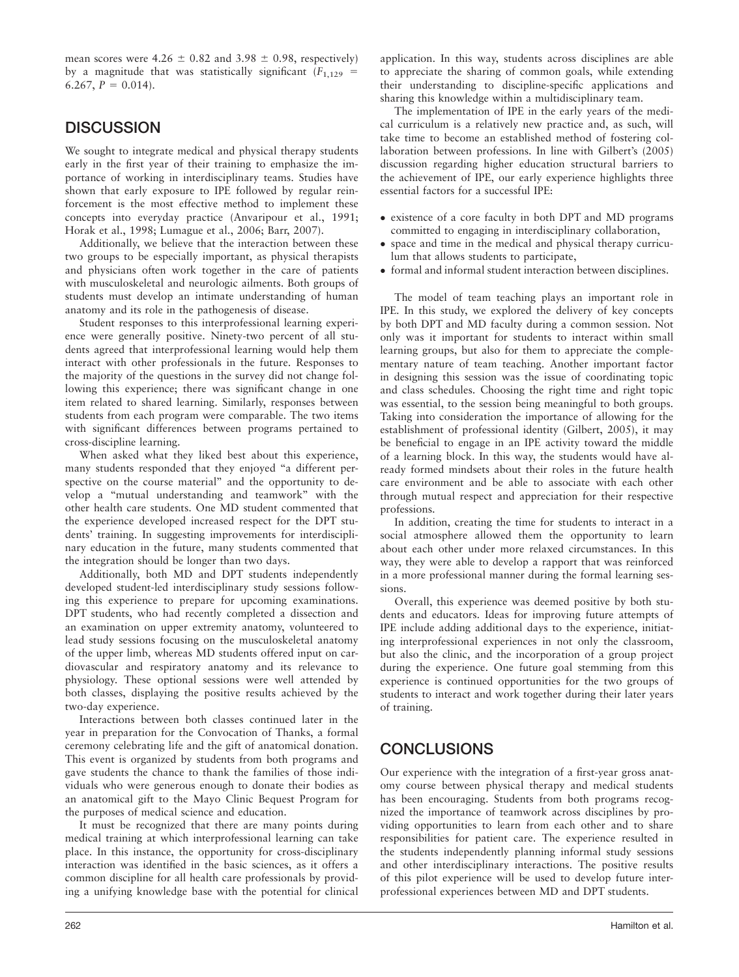mean scores were  $4.26 \pm 0.82$  and  $3.98 \pm 0.98$ , respectively) by a magnitude that was statistically significant  $(F_{1,129} =$ 6.267,  $P = 0.014$ .

### **DISCUSSION**

We sought to integrate medical and physical therapy students early in the first year of their training to emphasize the importance of working in interdisciplinary teams. Studies have shown that early exposure to IPE followed by regular reinforcement is the most effective method to implement these concepts into everyday practice (Anvaripour et al., 1991; Horak et al., 1998; Lumague et al., 2006; Barr, 2007).

Additionally, we believe that the interaction between these two groups to be especially important, as physical therapists and physicians often work together in the care of patients with musculoskeletal and neurologic ailments. Both groups of students must develop an intimate understanding of human anatomy and its role in the pathogenesis of disease.

Student responses to this interprofessional learning experience were generally positive. Ninety-two percent of all students agreed that interprofessional learning would help them interact with other professionals in the future. Responses to the majority of the questions in the survey did not change following this experience; there was significant change in one item related to shared learning. Similarly, responses between students from each program were comparable. The two items with significant differences between programs pertained to cross-discipline learning.

When asked what they liked best about this experience, many students responded that they enjoyed "a different perspective on the course material'' and the opportunity to develop a ''mutual understanding and teamwork'' with the other health care students. One MD student commented that the experience developed increased respect for the DPT students' training. In suggesting improvements for interdisciplinary education in the future, many students commented that the integration should be longer than two days.

Additionally, both MD and DPT students independently developed student-led interdisciplinary study sessions following this experience to prepare for upcoming examinations. DPT students, who had recently completed a dissection and an examination on upper extremity anatomy, volunteered to lead study sessions focusing on the musculoskeletal anatomy of the upper limb, whereas MD students offered input on cardiovascular and respiratory anatomy and its relevance to physiology. These optional sessions were well attended by both classes, displaying the positive results achieved by the two-day experience.

Interactions between both classes continued later in the year in preparation for the Convocation of Thanks, a formal ceremony celebrating life and the gift of anatomical donation. This event is organized by students from both programs and gave students the chance to thank the families of those individuals who were generous enough to donate their bodies as an anatomical gift to the Mayo Clinic Bequest Program for the purposes of medical science and education.

It must be recognized that there are many points during medical training at which interprofessional learning can take place. In this instance, the opportunity for cross-disciplinary interaction was identified in the basic sciences, as it offers a common discipline for all health care professionals by providing a unifying knowledge base with the potential for clinical application. In this way, students across disciplines are able to appreciate the sharing of common goals, while extending their understanding to discipline-specific applications and sharing this knowledge within a multidisciplinary team.

The implementation of IPE in the early years of the medical curriculum is a relatively new practice and, as such, will take time to become an established method of fostering collaboration between professions. In line with Gilbert's (2005) discussion regarding higher education structural barriers to the achievement of IPE, our early experience highlights three essential factors for a successful IPE:

- existence of a core faculty in both DPT and MD programs committed to engaging in interdisciplinary collaboration,
- space and time in the medical and physical therapy curriculum that allows students to participate,
- formal and informal student interaction between disciplines.

The model of team teaching plays an important role in IPE. In this study, we explored the delivery of key concepts by both DPT and MD faculty during a common session. Not only was it important for students to interact within small learning groups, but also for them to appreciate the complementary nature of team teaching. Another important factor in designing this session was the issue of coordinating topic and class schedules. Choosing the right time and right topic was essential, to the session being meaningful to both groups. Taking into consideration the importance of allowing for the establishment of professional identity (Gilbert, 2005), it may be beneficial to engage in an IPE activity toward the middle of a learning block. In this way, the students would have already formed mindsets about their roles in the future health care environment and be able to associate with each other through mutual respect and appreciation for their respective professions.

In addition, creating the time for students to interact in a social atmosphere allowed them the opportunity to learn about each other under more relaxed circumstances. In this way, they were able to develop a rapport that was reinforced in a more professional manner during the formal learning sessions.

Overall, this experience was deemed positive by both students and educators. Ideas for improving future attempts of IPE include adding additional days to the experience, initiating interprofessional experiences in not only the classroom, but also the clinic, and the incorporation of a group project during the experience. One future goal stemming from this experience is continued opportunities for the two groups of students to interact and work together during their later years of training.

### **CONCLUSIONS**

Our experience with the integration of a first-year gross anatomy course between physical therapy and medical students has been encouraging. Students from both programs recognized the importance of teamwork across disciplines by providing opportunities to learn from each other and to share responsibilities for patient care. The experience resulted in the students independently planning informal study sessions and other interdisciplinary interactions. The positive results of this pilot experience will be used to develop future interprofessional experiences between MD and DPT students.